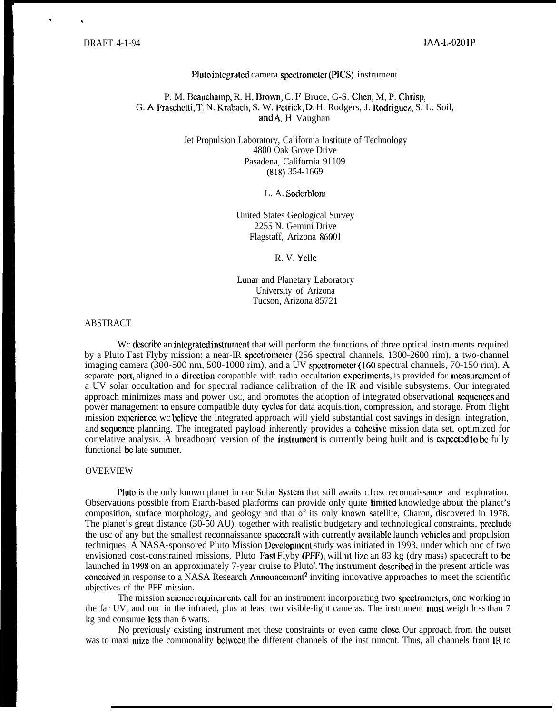. ,

#### Pluto inlcgratcd camera spcctromcicr (PICS) instrument

# P. M. Beauchamp, R. H. Brown, C. F. Bruce, G-S. Chen, M. P. Chrisp, G. A. Fraschetti, T. N. Krabach, S. W. Petrick, D. H. Rodgers, J. Rodriguez, S. L. Soil, and A,H. Vaughan

Jet Propulsion Laboratory, California Institute of Technology 4800 Oak Grove Drive Pasadena, California 91109 (818) 354-1669

L. A. Soderblom

United States Geological Survey 2255 N. Gemini Drive Flagstaff, Arizona 86001

R. V. Ycllc

Lunar and Planetary Laboratory University of Arizona Tucson, Arizona 85721

#### ABSTRACT

We describe an integrated instrument that will perform the functions of three optical instruments required by a Pluto Fast Flyby mission: a near-lR spectrometer (256 spectral channels, 1300-2600 rim), a two-channel imaging camera (300-500 nm, 500-1000 rim), and a UV spectrometer (160 spectral channels, 70-150 rim). A separate port, aligned in a direction compatible with radio occultation experiments, is provided for measurement of a UV solar occultation and for spectral radiance calibration of the IR and visible subsystems. Our integrated approach minimizes mass and power USC, and promotes the adoption of integrated observational scqucnccs and power management to ensure compatible duty cycles for data acquisition, compression, and storage. From flight mission cxpcricncc, wc bclicvc the integrated approach will yield substantial cost savings in design, integration, and scqucncc planning. The integrated payload inherently provides a cohcsivc mission data set, optimized for correlative analysis. A breadboard version of the instrument is currently being built and is expected to be fully functional bc late summer.

# OVERVIEW

Pluto is the only known planet in our Solar System that still awaits Closc reconnaissance and exploration. Observations possible from Eiarth-based platforms can provide only quite lirnitcd knowledge about the planet's composition, surface morphology, and geology and that of its only known satellite, Charon, discovered in 1978. The planet's great distance (30-50 AU), together with realistic budgetary and technological constraints, preclude the usc of any but the smallest reconnaissance spacecraft with currently available launch vehicles and propulsion techniques. A NASA-sponsored Pluto Mission Dcvclopmcnt study was initiated in 1993, under which onc of two envisioned cost-constrained missions, Pluto Fast Flyby (PFF), will utilize an 83 kg (dry mass) spacecraft to be launched in 1998 on an approximately 7-year cruise to Pluto'. The instrument described in the present article was conceived in response to a NASA Research Announcement<sup>2</sup> inviting innovative approaches to meet the scientific objectives of the PFF mission.

The mission scicncc rcquircmcnts call for an instrument incorporating two spcctromctcrs, onc working in the far UV, and onc in the infrared, plus at least two visible-light cameras. The instrument must weigh lcss than 7 kg and consume less than 6 watts.

No previously existing instrument met these constraints or even came CIOSC. Our approach from lhc outset was to maxi mize the commonality between the different channels of the inst rument. Thus, all channels from IR to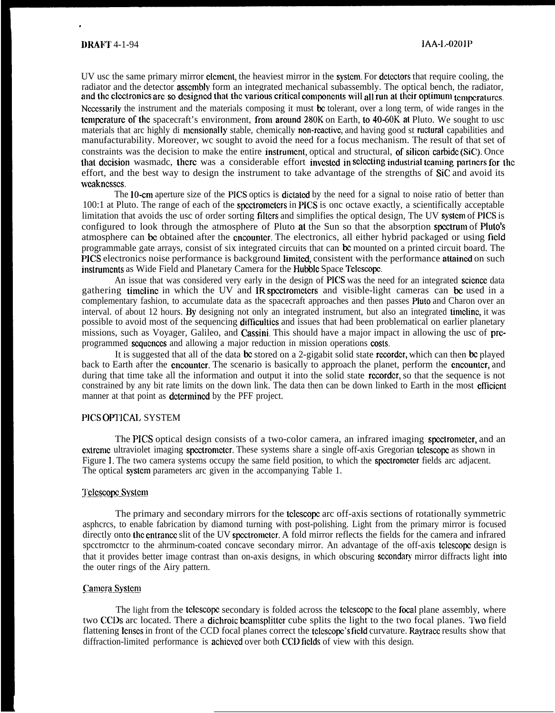.

UV usc the same primary mirror element, the heaviest mirror in the system. For detectors that require cooling, the radiator and the detector **assembly** form an integrated mechanical subassembly. The optical bench, the radiator, and the electronics are so designed that the various critical components will all run at their optimum temperatures. Ncccssarily the instrument and the materials composing it must bc tolerant, over a long term, of wide ranges in the temperature of the spacecraft's environment, from around 280K on Earth, to 40-60K at Pluto. We sought to usc materials that arc highly di mensionally stable, chemically non-reactive, and having good st ructural capabilities and manufacturability. Moreover, wc sought to avoid the need for a focus mechanism. The result of that set of constraints was the decision to make the entire instrument, optical and structural, of silicon carbide (SiC). Once that decision wasmade, there was a considerable effort invested in selecting industrial teaming partners for the effort, and the best way to design the instrument to take advantage of the strengths of SiC and avoid its wcakncsscs.

The 10-cm aperture size of the PICS optics is dictated by the need for a signal to noise ratio of better than 100:1 at Pluto. The range of each of the spcctromctcrs in PICS is onc octave exactly, a scientifically acceptable limitation that avoids the usc of order sorting filters and simplifies the optical design, The UV system of PICS is configured to look through the atmosphere of Pluto at the Sun so that the absorption spectrum of Pluto's atmosphere can be obtained after the cncounter. The electronics, all either hybrid packaged or using field programmable gate arrays, consist of six integrated circuits that can bc mounted on a printed circuit board. The PICS electronics noise performance is background limited, consistent with the performance attained on such inslrurncnts as Wide Field and Planetary Camera for the Hubblc Space Tclcscopc.

An issue that was considered very early in the design of PICS was the need for an integrated scicncc data gathering timeline in which the UV and IR spectrometers and visible-light cameras can be used in a complementary fashion, to accumulate data as the spacecraft approaches and then passes Pluto and Charon over an interval. of about 12 hours. By designing not only an integrated instrument, but also an integrated timclinc, it was possible to avoid most of the sequencing difticultics and issues that had been problematical on earlier planetary missions, such as Voyager, Galileo, and Cassini, This should have a major impact in allowing the usc of preprogrammed sequences and allowing a major reduction in mission operations costs.

It is suggested that all of the data be stored on a 2-gigabit solid state recorder, which can then be played back to Earth after the **cncounter**. The scenario is basically to approach the planet, perform the **cncounter**, and during that time take all the information and output it into the solid state recorder, so that the sequence is not constrained by any bit rate limits on the down link. The data then can be down linked to Earth in the most cfflcicnt manner at that point as **determined** by the PFF project.

# PICS OPTJCAL SYSTEM

The PICS optical design consists of a two-color camera, an infrared imaging spcctromctcr, and an cxlrcmc ultraviolet imaging spcctromctcr. These systems share a single off-axis Gregorian tclcscopc as shown in Figure 1. The two camera systems occupy the same field position, to which the spectrometer fields arc adjacent. The optical system parameters arc given in the accompanying Table 1.

### Telescope System

The primary and secondary mirrors for the telescope arc off-axis sections of rotationally symmetric asphcrcs, to enable fabrication by diamond turning with post-polishing. Light from the primary mirror is focused directly onto the cntrance slit of the UV spectrometer. A fold mirror reflects the fields for the camera and infrared spectromctcr to the ahrminum-coated concave secondary mirror. An advantage of the off-axis telescope design is that it provides better image contrast than on-axis designs, in which obscuring secondary mirror diffracts light into the outer rings of the Airy pattern.

### Camera System

The light from the tclcscope secondary is folded across the tclcscope to the focal plane assembly, where two CCDs arc located. There a dichroic bcamsplitter cube splits the light to the two focal planes. Two field flattening lenses in front of the CCD focal planes correct the telescope's field curvature. Raytracc results show that diffraction-limited performance is achieved over both CCD fields of view with this design.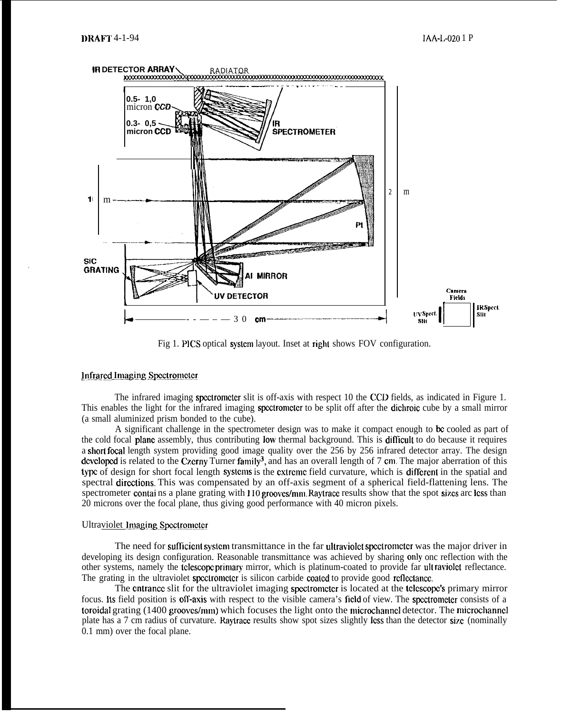

Fig 1. PICS optical system layout. Inset at right shows FOV configuration.

### Infrared Imaging Spectrometer

The infrared imaging spcctromctcr slit is off-axis with respect 10 the CCD fields, as indicated in Figure 1. This enables the light for the infrared imaging spectrometer to be split off after the dichroic cube by a small mirror (a small aluminized prism bonded to the cube).

A significant challenge in the spectrometer design was to make it compact enough to be cooled as part of the cold focal plane assembly, thus contributing low thermal background. This is difllcult to do because it requires a short focal length system providing good image quality over the 256 by 256 infrared detector array. The design developed is related to the Czcrny Turner family<sup>3</sup>, and has an overall length of 7 cm. The major aberration of this type of design for short focal length systems is the extreme field curvature, which is different in the spatial and spectral dircztions. This was compensated by an off-axis segment of a spherical field-flattening lens. The spectrometer contains a plane grating with 110 grooves/mm. Raytrace results show that the spot sizes arc less than 20 microns over the focal plane, thus giving good performance with 40 micron pixels.

# Ultraviolet Imaging Spectrometer

The need for sufficient system transmittance in the far ultraviolet spectrometer was the major driver in developing its design configuration. Reasonable transmittance was achieved by sharing only' onc reflection with the other systems, namely the tclescope primary mirror, which is platinum-coated to provide far ult raviolet reflectance. The grating in the ultraviolet spectrometer is silicon carbide coated to provide good reflectance.

The cntrance slit for the ultraviolet imaging spectrometer is located at the telescope's primary mirror focus. Its field position is off-axis with respect to the visible camera's field of view. The spectrometer consists of a toroidal grating (1400 grooves/mm) which focuses the light onto the microchannel detector. The microchannel plate has a 7 cm radius of curvature. Raytrace results show spot sizes slightly lcss than the detector size (nominally 0.1 mm) over the focal plane.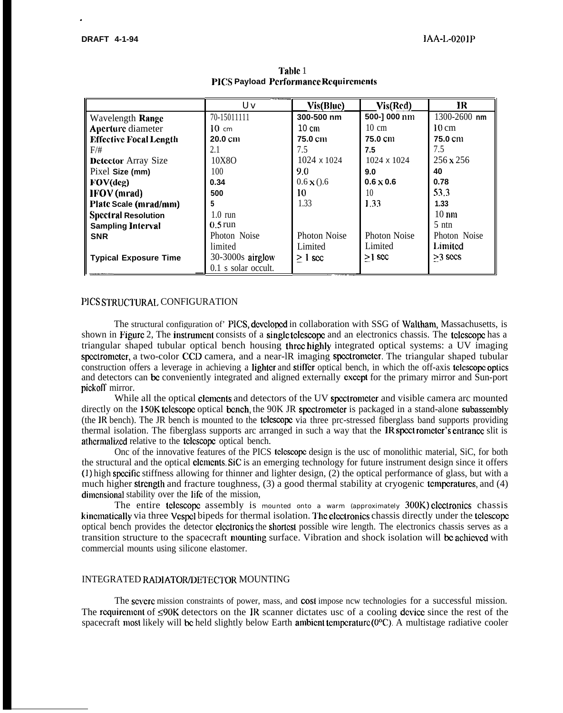.

|                               | Uv                   | Vis(Blue)           | Vis(Red)            | IR                 |
|-------------------------------|----------------------|---------------------|---------------------|--------------------|
| Wavelength Range              | 70-15011111          | 300-500 nm          | 500-1 000 nm        | $1300 - 2600$ nm   |
| <b>Aperture</b> diameter      | $10 \text{ cm}$      | $10 \text{ cm}$     | $10 \text{ cm}$     | $10 \text{ cm}$    |
| <b>Effective Focal Length</b> | $20.0 \text{ cm}$    | 75.0 cm             | 75.0 cm             | 75.0 cm            |
| $F/\#$                        | 2.1                  | 7.5                 | 7.5                 | 7.5                |
| <b>Detector</b> Array Size    | 10X8O                | $1024 \times 1024$  | 1024 x 1024         | $256 \times 256$   |
| Pixel Size (mm)               | 100                  | 9.0                 | 9.0                 | 40                 |
| FOV(deg)                      | 0.34                 | $0.6 \times (0.6)$  | $0.6 \times 0.6$    | 0.78               |
| <b>IFOV</b> (mrad)            | 500                  | 10                  | 10                  | 53.3               |
| Plate Scale (mrad/mm)         | 5                    | 1.33                | 1.33                | 1.33               |
| <b>Spectral Resolution</b>    | $1.0 \text{ run}$    |                     |                     | $10 \,\mathrm{nm}$ |
| <b>Sampling Interval</b>      | $0.5 \,\mathrm{run}$ |                     |                     | $5 \text{ }$ ntn   |
| <b>SNR</b>                    | Photon Noise         | <b>Photon Noise</b> | <b>Photon Noise</b> | Photon Noise       |
|                               | limited              | Limited             | Limited             | Limited            |
| <b>Typical Exposure Time</b>  | $30-3000s$ airglow   | $\geq 1$ sec        | $>1$ scc            | $>3$ secs          |
|                               | 0.1 s solar occult.  |                     |                     |                    |

Table 1 **PICS Payload . Pcrformancc Rcquircmcnts**

# PICS STRUCTURAL CONFIGURATION

The structural configuration of' PICS, dcvclopcd in collaboration with SSG of Waltham, Massachusetts, is shown in Figure 2, The instrument consists of a single telescope and an electronics chassis. The telescope has a triangular shaped tubular optical bench housing thrcz highly integrated optical systems: a UV imaging spectrometer, a two-color CCD camera, and a near-IR imaging spectrometer. The triangular shaped tubular construction offers a leverage in achieving a lighter and stiffer optical bench, in which the off-axis telescope optics and detectors can bc conveniently integrated and aligned externally cxccpt for the primary mirror and Sun-port pickoff mirror.

While all the optical clements and detectors of the UV spectrometer and visible camera arc mounted directly on the 150K telescope optical bench, the 90K JR spectrometer is packaged in a stand-alone subassembly (the IR bench). The JR bench is mounted to the tclcscopc via three prc-stressed fiberglass band supports providing thermal isolation. The fiberglass supports arc arranged in such a way that the IR spectrometer's entrance slit is athcrmalizcd relative to the tclcscopc optical bench.

Onc of the innovative features of the PICS tclcscopc design is the usc of monolithic material, SiC, for both the structural and the optical clcmcnts. SiC is an emerging technology for future instrument design since it offers (1) high spccitic stiffness allowing for thinner and lighter design, (2) the optical performance of glass, but with a much higher strength and fracture toughness,  $(3)$  a good thermal stability at cryogenic temperatures, and  $(4)$ dimensional stability over the life of the mission,

The entire telescope assembly is mounted onto a warm (approximately 300K) electronics chassis kincmatically via three Vespcl bipeds for thermal isolation. The electronics chassis directly under the telescope optical bench provides the detector clcclronics the shortcsl possible wire length. The electronics chassis serves as a transition structure to the spacecraft mounting surface. Vibration and shock isolation will be achieved with commercial mounts using silicone elastomer.

### INTEGRATED RADIATOR/DETECTOR MOUNTING

The severe mission constraints of power, mass, and cost impose new technologies for a successful mission. The requirement of  $\leq 90K$  detectors on the IR scanner dictates usc of a cooling device since the rest of the spacecraft most likely will be held slightly below Earth ambient temperature  $(0^{\circ}C)$ . A multistage radiative cooler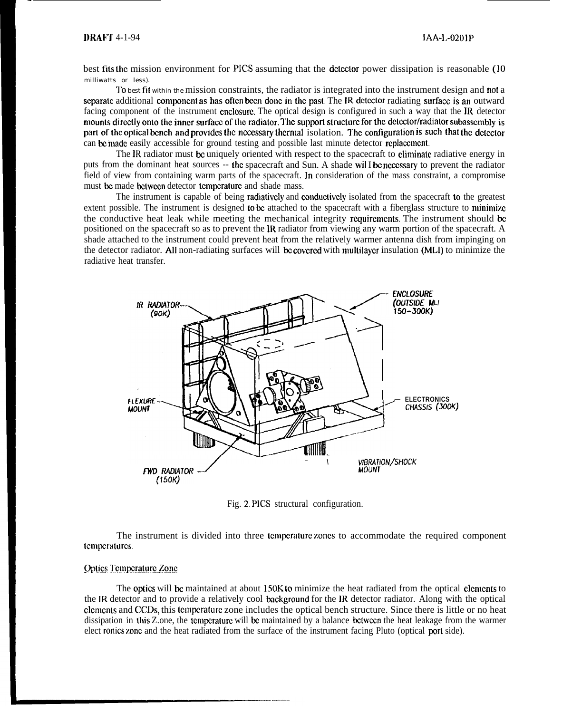best fits lhc mission environment for PICS assuming that the dclcclor power dissipation is reasonable (1o milliwatts or less).

To best fit within the mission constraints, the radiator is integrated into the instrument design and not a separate additional component as has often been done in the past. The IR detector radiating surface is an outward facing component of the instrument cnclosurc. The optical design is configured in such a way that the JR detector mounts directly onto the inner surface of the radiator. The support structure for the detector/radiator subassembly is part of the optical bench and provides the necessary thermal isolation. The configuration is such that the detector can be made easily accessible for ground testing and possible last minute detector replacement.

The IR radiator must be uniquely oriented with respect to the spacecraft to climinate radiative energy in puts from the dominant heat sources -- the spacecraft and Sun. A shade will be necessary to prevent the radiator field of view from containing warm parts of the spacecraft. In consideration of the mass constraint, a compromise must be made between detector temperature and shade mass.

The instrument is capable of being **radiatively** and **conductively** isolated from the spacecraft **to** the greatest extent possible. The instrument is designed to be attached to the spacecraft with a fiberglass structure to minimize the conductive heat leak while meeting the mechanical integrity requirements. The instrument should be positioned on the spacecraft so as to prevent the IR radiator from viewing any warm portion of the spacecraft. A shade attached to the instrument could prevent heat from the relatively warmer antenna dish from impinging on the detector radiator. All non-radiating surfaces will be covered with multilayer insulation (MLI) to minimize the radiative heat transfer.



Fig. 2, PICS structural configuration.

The instrument is divided into three tcmpcraturc zones to accommodate the required component tcmpcraturcs.

# **Optics Temperature Zone**

The optics will bc maintained at about 150K to minimize the heat radiated from the optical clcmcnts to the IR detector and to provide a relatively cool background for the IR detector radiator. Along with the optical clcmcnts and CCDS, this tcmpcraturc zone includes the optical bench structure. Since there is little or no heat dissipation in this Z.one, the temperature will be maintained by a balance between the heat leakage from the warmer elect ronics zonc and the heat radiated from the surface of the instrument facing Pluto (optical port side).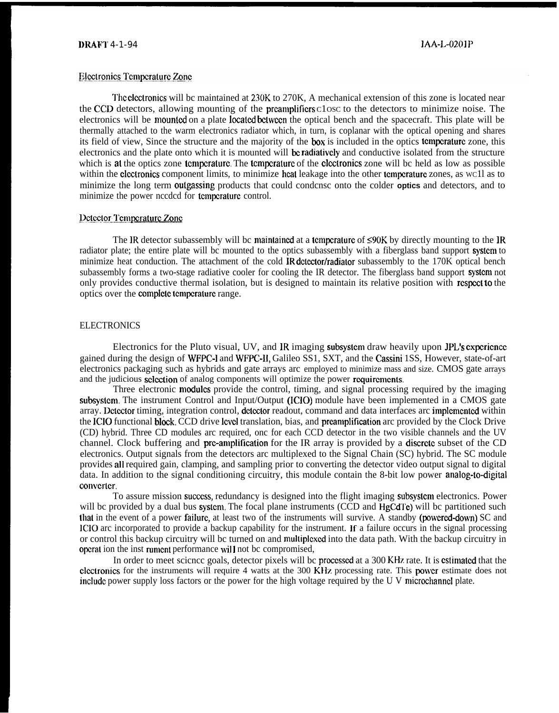# l)RAFT 4-1-94 lAA-L-0201P

#### **Electronics Temperature Zone**

The electronics will be maintained at 230K to 270K, A mechanical extension of this zone is located near the CCD detectors, allowing mounting of the preamplifiers close to the detectors to minimize noise. The electronics will be mounlcd on a plate Iocalcd bctwccn the optical bench and the spacecraft. This plate will be thermally attached to the warm electronics radiator which, in turn, is coplanar with the optical opening and shares its field of view, Since the structure and the majority of the box is included in the optics tcmpcraturc zone, this electronics and the plate onto which it is mounted will be radiatively and conductive isolated from the structure which is at the optics zone temperature. The temperature of the electronics zone will be held as low as possible within the clectronics component limits, to minimize heat leakage into the other temperature zones, as wc1l as to minimize the long term outgassing products that could condcnsc onto the colder **optics** and detectors, and to minimize the power nccdcd for tcmpcraturc control.

# Detector Temperature Zone

The IR detector subassembly will be maintained at a temperature of  $\leq 90K$  by directly mounting to the IR radiator plate; the entire plate will bc mounted to the optics subassembly with a fiberglass band support system to minimize heat conduction. The attachment of the cold **IR detector/radiator** subassembly to the 170K optical bench subassembly forms a two-stage radiative cooler for cooling the IR detector. The fiberglass band support system not only provides conductive thermal isolation, but is designed to maintain its relative position with rcspccl to the optics over the complete temperature range.

#### **ELECTRONICS**

Electronics for the Pluto visual, UV, and IR imaging subsystem draw heavily upon JPL's experience gained during the design of WFPC-1 and WFPC-H, Galileo SS1, SXT, and the Cassini 1SS, However, state-of-art electronics packaging such as hybrids and gate arrays arc employed to minimize mass and size. CMOS gate arrays and the judicious selection of analog components will optimize the power requirements.

Three electronic **modules** provide the control, timing, and signal processing required by the imaging subsystem. The instrument Control and Input/Output (ICIO) module have been implemented in a CMOS gate array. Dclcctor timing, integration control, dctcclor readout, command and data interfaces arc implcmcntcd within the ICIO functional block. CCD drive lcvcl translation, bias, and preamplification arc provided by the Clock Drive (CD) hybrid. Three CD modules arc required, onc for each CCD detector in the two visible channels and the UV channel. Clock buffering and pre-amplification for the IR array is provided by a discrete subset of the CD electronics. Output signals from the detectors arc multiplexed to the Signal Chain (SC) hybrid. The SC module provides all required gain, clamping, and sampling prior to converting the detector video output signal to digital data. In addition to the signal conditioning circuitry, this module contain the 8-bit low power **analog-to-digital** converter.

To assure mission success, redundancy is designed into the flight imaging subsystem electronics. Power will bc provided by a dual bus system. The focal plane instruments (CCD and HgCdTe) will bc partitioned such that in the event of a power failure, at least two of the instruments will survive. A standby (powered-down) SC and ICIO arc incorporated to provide a backup capability for the instrument. If a failure occurs in the signal processing or control this backup circuitry will bc turned on and nndtiplcxcd into the data path. With the backup circuitry in operat ion the inst rument performance will not be compromised,

In order to meet science goals, detector pixels will be processed at a 300 KHz rate. It is estimated that the clectronics for the instruments will require 4 watts at the 300 KHz processing rate. This power estimate does not include power supply loss factors or the power for the high voltage required by the U V microchannel plate.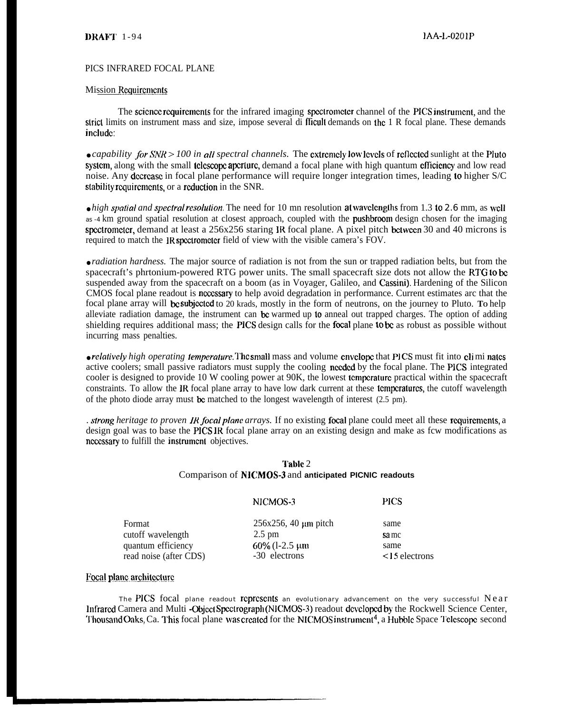# PICS INFRARED FOCAL PLANE

### Mission Requirements

The scicncc rcquircmcnts for the infrared imaging spcclromcter channel of the PICS inslrumcmt, and the strict limits on instrument mass and size, impose several di fficult demands on the 1 R focal plane. These demands include:

 $\bullet$  *capability for SNR*  $> 100$  *in all spectral channels.* The extremely low levels of reflected sunlight at the Pluto system, along with the small telescope aperture, demand a focal plane with high quantum efficiency and low read noise. Any dccrcase in focal plane performance will require longer integration times, leading to higher S/C stability requirements, or a reduction in the SNR.

• *high spatial and spectral resolution*. The need for 10 mn resolution at wavelengths from 1.3 to 2.6 mm, as well as -4 km ground spatial resolution at closest approach, coupled with the pushbroom design chosen for the imaging spectrometer, demand at least a  $256x256$  staring IR focal plane. A pixel pitch between 30 and 40 microns is required to match the IR spectrometer field of view with the visible camera's FOV.

• *radiation hardness*. The major source of radiation is not from the sun or trapped radiation belts, but from the spacecraft's phrtonium-powered RTG power units. The small spacecraft size dots not allow the RTG to be suspended away from the spacecraft on a boom (as in Voyager, Galileo, and Cassini). Hardening of the Silicon CMOS focal plane readout is ncccssary to help avoid degradation in performance. Current estimates arc that the focal plane array will bc subjcctcd to 20 krads, mostly in the form of neutrons, on the journey to Pluto. **TO** help alleviate radiation damage, the instrument can bc warmed up to anneal out trapped charges. The option of adding shielding requires additional mass; the PICS design calls for the focal plane to bc as robust as possible without incurring mass penalties.

• *relatively high operating temperature*. The small mass and volume cnvelope that PICS must fit into climinates active coolers; small passive radiators must supply the cooling nccdcd by the focal plane. The PICS integrated cooler is designed to provide 10 W cooling power at 90K, the lowest tcmpcraturc practical within the spacecraft constraints. To allow the IR focal plane array to have low dark current at these tcmpcraturcs, the cutoff wavelength of the photo diode array must be matched to the longest wavelength of interest  $(2.5 \text{ pm})$ .

*. strong heritage to proven IR focal plane arrays.* If no existing focal plane could meet all these requirements, a design goal was to base the PICS IR focal plane array on an existing design and make as fcw modifications as nccessary to fulfill the instrument objectives.

# Table 2 Comparison of NICMOS-3 and **anticipated PICNIC readouts**

|                                              | NICMOS-3                          | <b>PICS</b>                 |
|----------------------------------------------|-----------------------------------|-----------------------------|
| Format                                       | $256x256$ , 40 $\mu$ m pitch      | same                        |
| cutoff wavelength                            | $2.5 \text{ pm}$                  | sa mc                       |
| quantum efficiency<br>read noise (after CDS) | $60\%$ (1-2.5 µm<br>-30 electrons | same<br>$\leq$ 15 electrons |

# **Focal plane architecture**

The PICS focal plane readout represents an evolutionary advancement on the very successful Near lnfrarcd Camera and Multi -Objccl Spcclrograph (NICMOS-3) readout dcvclopcd by the Rockwell Science Center, Thousand Oaks, Ca. This focal plane was created for the NICMOS instrument<sup>4</sup>, a Hubble Space Telescope second